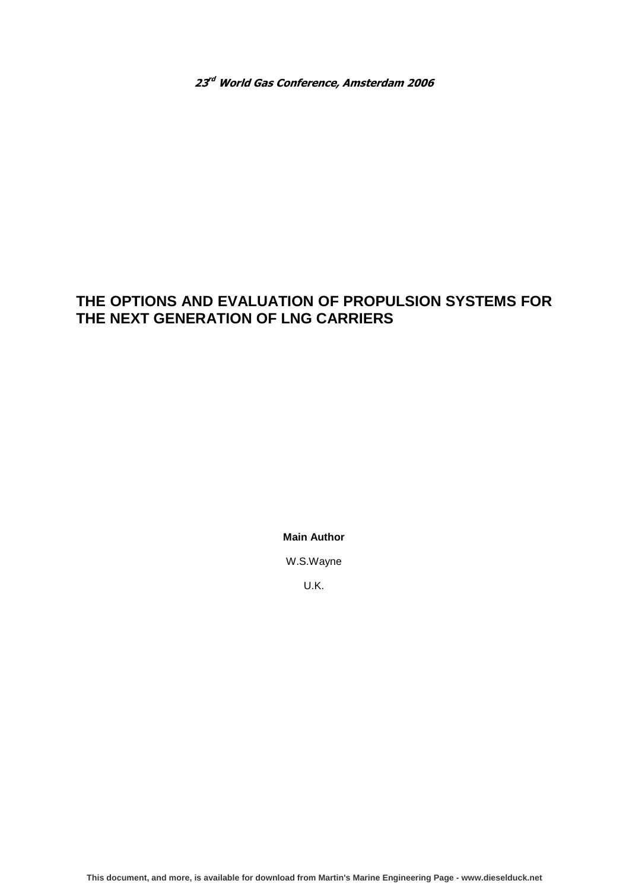23<sup>rd</sup> World Gas Conference, Amsterdam 2006

# **THE OPTIONS AND EVALUATION OF PROPULSION SYSTEMS FOR THE NEXT GENERATION OF LNG CARRIERS**

**Main Author** 

W.S.Wayne

U.K.

**[This document, and more, is available for download from Martin's Marine Engineering Page - www.dieselduck.net](www.dieselduck..net)**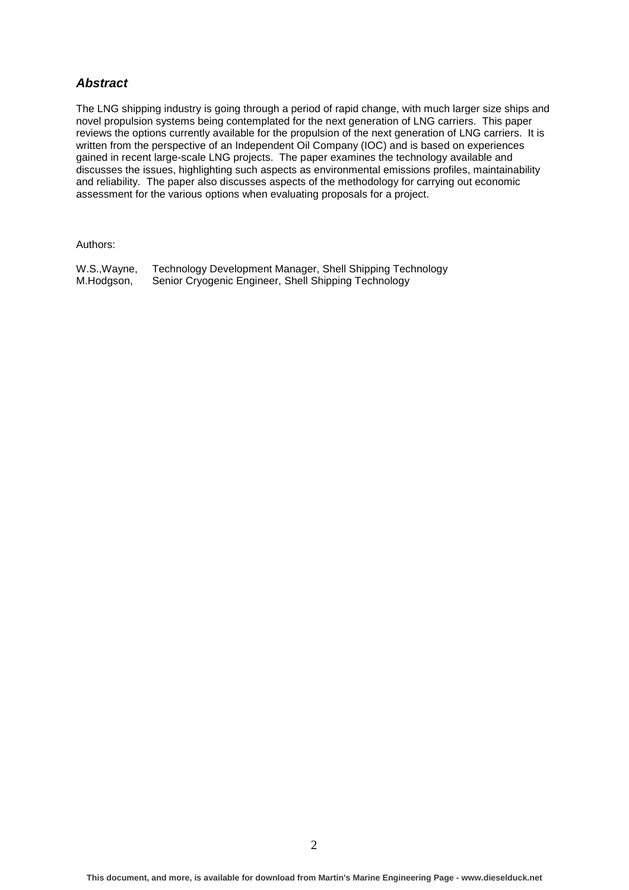### **Abstract**

The LNG shipping industry is going through a period of rapid change, with much larger size ships and novel propulsion systems being contemplated for the next generation of LNG carriers. This paper reviews the options currently available for the propulsion of the next generation of LNG carriers. It is written from the perspective of an Independent Oil Company (IOC) and is based on experiences gained in recent large-scale LNG projects. The paper examines the technology available and discusses the issues, highlighting such aspects as environmental emissions profiles, maintainability and reliability. The paper also discusses aspects of the methodology for carrying out economic assessment for the various options when evaluating proposals for a project.

Authors:

W.S.,Wayne, Technology Development Manager, Shell Shipping Technology M.Hodgson, Senior Cryogenic Engineer, Shell Shipping Technology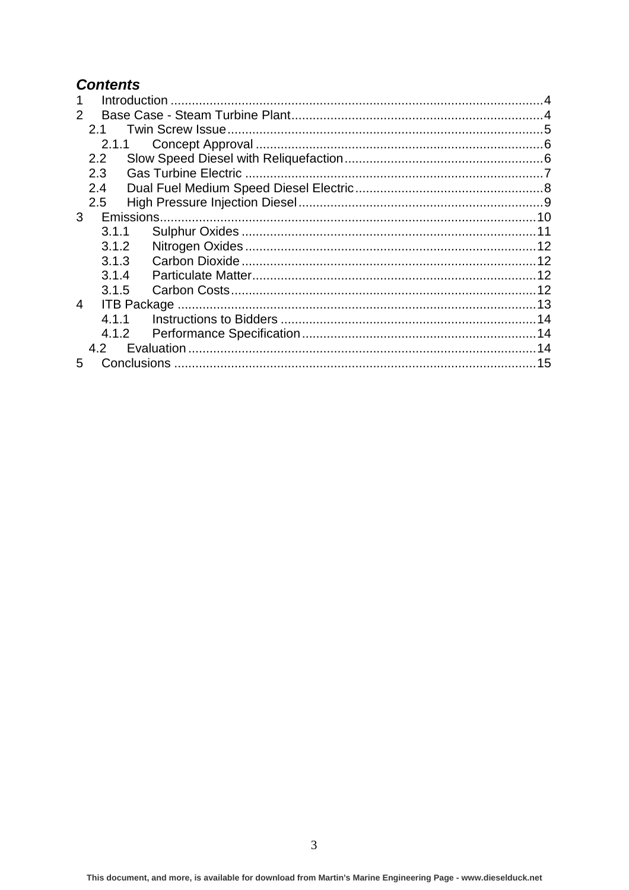# **Contents**

| $\mathcal{P}$ |               |  |  |
|---------------|---------------|--|--|
|               | 21            |  |  |
|               | 2.1.1         |  |  |
|               | $2.2^{\circ}$ |  |  |
|               | 2.3           |  |  |
|               | 2.4           |  |  |
|               | 2.5           |  |  |
| 3             |               |  |  |
|               | 3.1.1         |  |  |
|               | 3.1.2         |  |  |
|               | 3.1.3         |  |  |
|               | 3.1.4         |  |  |
|               | 3.1.5         |  |  |
| 4             |               |  |  |
|               | 4.1.1         |  |  |
|               | 4.1.2         |  |  |
|               | 4.2           |  |  |
| 5             |               |  |  |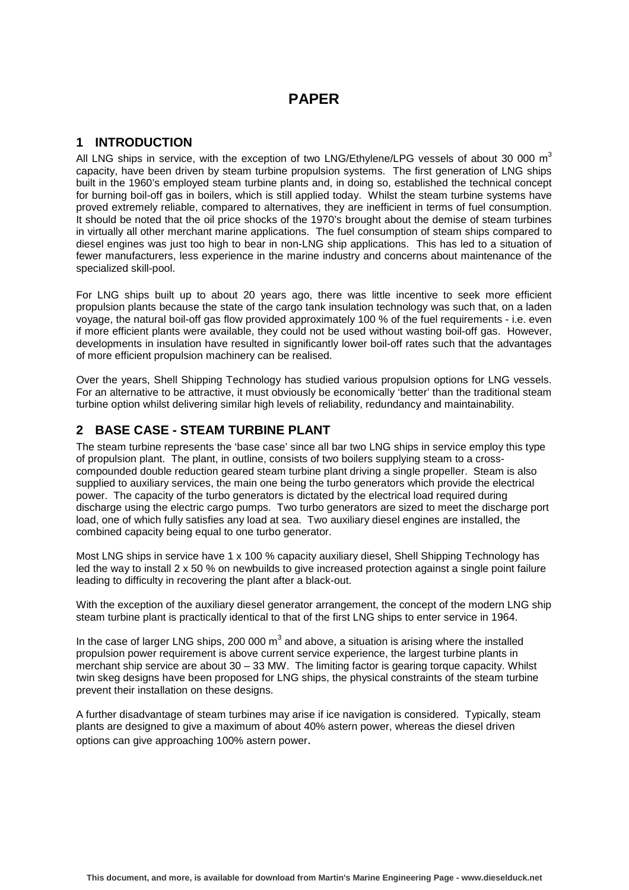## **PAPER**

### **1 INTRODUCTION**

All LNG ships in service, with the exception of two LNG/Ethylene/LPG vessels of about 30 000  $m<sup>3</sup>$ capacity, have been driven by steam turbine propulsion systems. The first generation of LNG ships built in the 1960's employed steam turbine plants and, in doing so, established the technical concept for burning boil-off gas in boilers, which is still applied today. Whilst the steam turbine systems have proved extremely reliable, compared to alternatives, they are inefficient in terms of fuel consumption. It should be noted that the oil price shocks of the 1970's brought about the demise of steam turbines in virtually all other merchant marine applications. The fuel consumption of steam ships compared to diesel engines was just too high to bear in non-LNG ship applications. This has led to a situation of fewer manufacturers, less experience in the marine industry and concerns about maintenance of the specialized skill-pool.

For LNG ships built up to about 20 years ago, there was little incentive to seek more efficient propulsion plants because the state of the cargo tank insulation technology was such that, on a laden voyage, the natural boil-off gas flow provided approximately 100 % of the fuel requirements - i.e. even if more efficient plants were available, they could not be used without wasting boil-off gas. However, developments in insulation have resulted in significantly lower boil-off rates such that the advantages of more efficient propulsion machinery can be realised.

Over the years, Shell Shipping Technology has studied various propulsion options for LNG vessels. For an alternative to be attractive, it must obviously be economically 'better' than the traditional steam turbine option whilst delivering similar high levels of reliability, redundancy and maintainability.

### **2 BASE CASE - STEAM TURBINE PLANT**

The steam turbine represents the 'base case' since all bar two LNG ships in service employ this type of propulsion plant. The plant, in outline, consists of two boilers supplying steam to a crosscompounded double reduction geared steam turbine plant driving a single propeller. Steam is also supplied to auxiliary services, the main one being the turbo generators which provide the electrical power. The capacity of the turbo generators is dictated by the electrical load required during discharge using the electric cargo pumps. Two turbo generators are sized to meet the discharge port load, one of which fully satisfies any load at sea. Two auxiliary diesel engines are installed, the combined capacity being equal to one turbo generator.

Most LNG ships in service have 1 x 100 % capacity auxiliary diesel, Shell Shipping Technology has led the way to install 2 x 50 % on newbuilds to give increased protection against a single point failure leading to difficulty in recovering the plant after a black-out.

With the exception of the auxiliary diesel generator arrangement, the concept of the modern LNG ship steam turbine plant is practically identical to that of the first LNG ships to enter service in 1964.

In the case of larger LNG ships, 200 000  $m^3$  and above, a situation is arising where the installed propulsion power requirement is above current service experience, the largest turbine plants in merchant ship service are about 30 – 33 MW. The limiting factor is gearing torque capacity. Whilst twin skeg designs have been proposed for LNG ships, the physical constraints of the steam turbine prevent their installation on these designs.

A further disadvantage of steam turbines may arise if ice navigation is considered. Typically, steam plants are designed to give a maximum of about 40% astern power, whereas the diesel driven options can give approaching 100% astern power.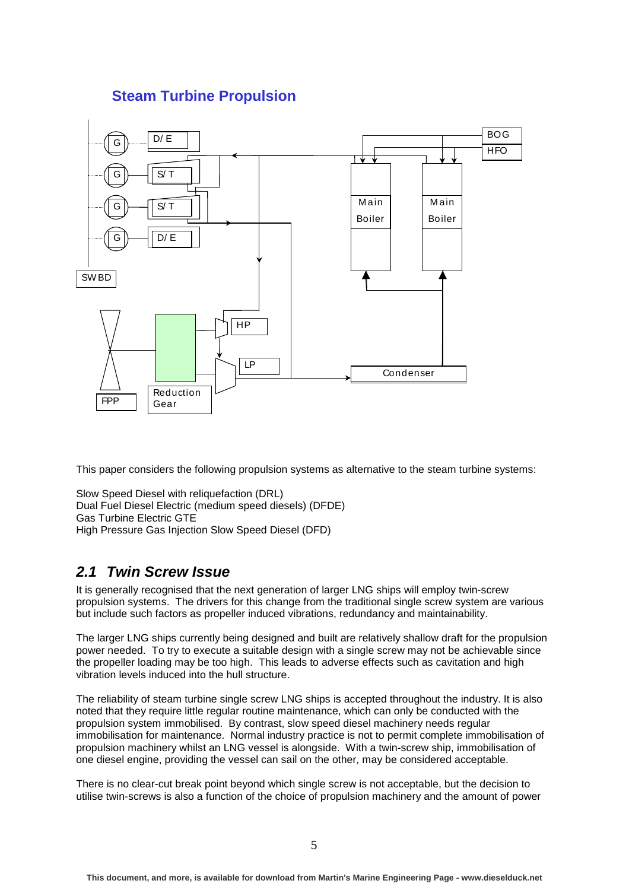## **Steam Turbine Propulsion**



This paper considers the following propulsion systems as alternative to the steam turbine systems:

```
Slow Speed Diesel with reliquefaction (DRL) 
Dual Fuel Diesel Electric (medium speed diesels) (DFDE) 
Gas Turbine Electric GTE 
High Pressure Gas Injection Slow Speed Diesel (DFD)
```
# **2.1 Twin Screw Issue**

It is generally recognised that the next generation of larger LNG ships will employ twin-screw propulsion systems. The drivers for this change from the traditional single screw system are various but include such factors as propeller induced vibrations, redundancy and maintainability.

The larger LNG ships currently being designed and built are relatively shallow draft for the propulsion power needed. To try to execute a suitable design with a single screw may not be achievable since the propeller loading may be too high. This leads to adverse effects such as cavitation and high vibration levels induced into the hull structure.

The reliability of steam turbine single screw LNG ships is accepted throughout the industry. It is also noted that they require little regular routine maintenance, which can only be conducted with the propulsion system immobilised. By contrast, slow speed diesel machinery needs regular immobilisation for maintenance. Normal industry practice is not to permit complete immobilisation of propulsion machinery whilst an LNG vessel is alongside. With a twin-screw ship, immobilisation of one diesel engine, providing the vessel can sail on the other, may be considered acceptable.

There is no clear-cut break point beyond which single screw is not acceptable, but the decision to utilise twin-screws is also a function of the choice of propulsion machinery and the amount of power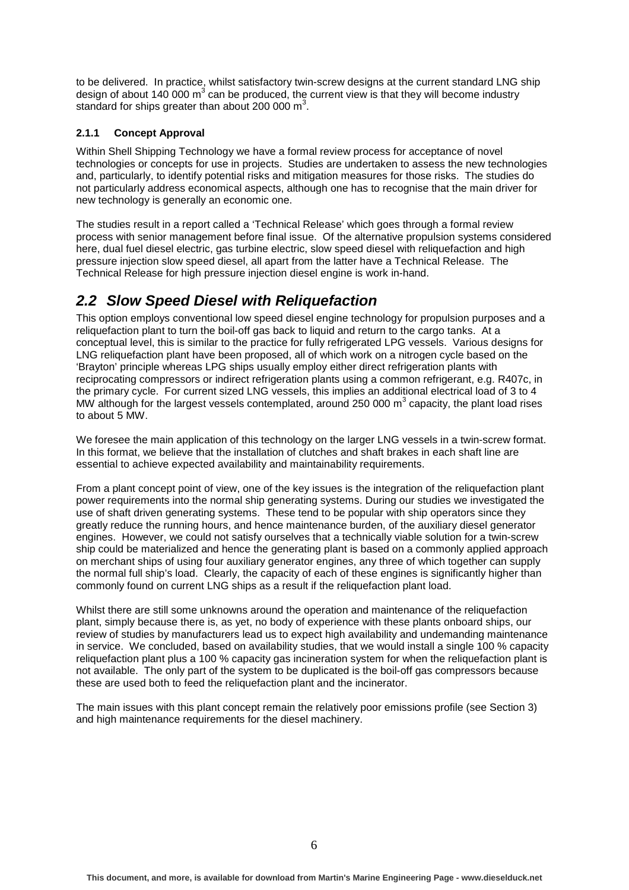to be delivered. In practice, whilst satisfactory twin-screw designs at the current standard LNG ship design of about 140 000 m<sup>3</sup> can be produced, the current view is that they will become industry standard for ships greater than about 200 000  $\text{m}^3$ .

### **2.1.1 Concept Approval**

Within Shell Shipping Technology we have a formal review process for acceptance of novel technologies or concepts for use in projects. Studies are undertaken to assess the new technologies and, particularly, to identify potential risks and mitigation measures for those risks. The studies do not particularly address economical aspects, although one has to recognise that the main driver for new technology is generally an economic one.

The studies result in a report called a 'Technical Release' which goes through a formal review process with senior management before final issue. Of the alternative propulsion systems considered here, dual fuel diesel electric, gas turbine electric, slow speed diesel with reliquefaction and high pressure injection slow speed diesel, all apart from the latter have a Technical Release. The Technical Release for high pressure injection diesel engine is work in-hand.

# **2.2 Slow Speed Diesel with Reliquefaction**

This option employs conventional low speed diesel engine technology for propulsion purposes and a reliquefaction plant to turn the boil-off gas back to liquid and return to the cargo tanks. At a conceptual level, this is similar to the practice for fully refrigerated LPG vessels. Various designs for LNG reliquefaction plant have been proposed, all of which work on a nitrogen cycle based on the 'Brayton' principle whereas LPG ships usually employ either direct refrigeration plants with reciprocating compressors or indirect refrigeration plants using a common refrigerant, e.g. R407c, in the primary cycle. For current sized LNG vessels, this implies an additional electrical load of 3 to 4 MW although for the largest vessels contemplated, around 250 000  $\text{m}^3$  capacity, the plant load rises to about 5 MW.

We foresee the main application of this technology on the larger LNG vessels in a twin-screw format. In this format, we believe that the installation of clutches and shaft brakes in each shaft line are essential to achieve expected availability and maintainability requirements.

From a plant concept point of view, one of the key issues is the integration of the reliquefaction plant power requirements into the normal ship generating systems. During our studies we investigated the use of shaft driven generating systems. These tend to be popular with ship operators since they greatly reduce the running hours, and hence maintenance burden, of the auxiliary diesel generator engines. However, we could not satisfy ourselves that a technically viable solution for a twin-screw ship could be materialized and hence the generating plant is based on a commonly applied approach on merchant ships of using four auxiliary generator engines, any three of which together can supply the normal full ship's load. Clearly, the capacity of each of these engines is significantly higher than commonly found on current LNG ships as a result if the reliquefaction plant load.

Whilst there are still some unknowns around the operation and maintenance of the reliquefaction plant, simply because there is, as yet, no body of experience with these plants onboard ships, our review of studies by manufacturers lead us to expect high availability and undemanding maintenance in service. We concluded, based on availability studies, that we would install a single 100 % capacity reliquefaction plant plus a 100 % capacity gas incineration system for when the reliquefaction plant is not available. The only part of the system to be duplicated is the boil-off gas compressors because these are used both to feed the reliquefaction plant and the incinerator.

The main issues with this plant concept remain the relatively poor emissions profile (see Section 3) and high maintenance requirements for the diesel machinery.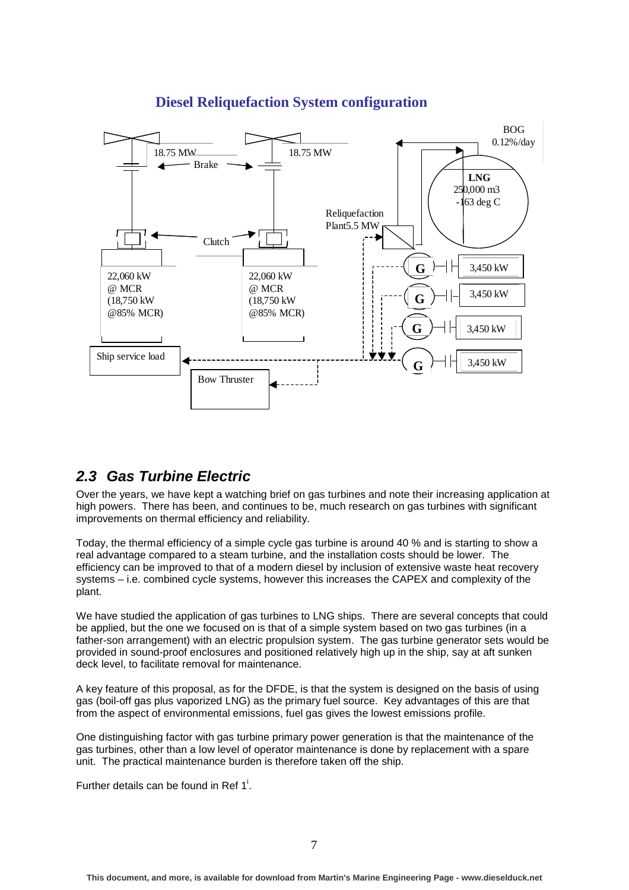

## **Diesel Reliquefaction System configuration**

# **2.3 Gas Turbine Electric**

Over the years, we have kept a watching brief on gas turbines and note their increasing application at high powers. There has been, and continues to be, much research on gas turbines with significant improvements on thermal efficiency and reliability.

Today, the thermal efficiency of a simple cycle gas turbine is around 40 % and is starting to show a real advantage compared to a steam turbine, and the installation costs should be lower. The efficiency can be improved to that of a modern diesel by inclusion of extensive waste heat recovery systems – i.e. combined cycle systems, however this increases the CAPEX and complexity of the plant.

We have studied the application of gas turbines to LNG ships. There are several concepts that could be applied, but the one we focused on is that of a simple system based on two gas turbines (in a father-son arrangement) with an electric propulsion system. The gas turbine generator sets would be provided in sound-proof enclosures and positioned relatively high up in the ship, say at aft sunken deck level, to facilitate removal for maintenance.

A key feature of this proposal, as for the DFDE, is that the system is designed on the basis of using gas (boil-off gas plus vaporized LNG) as the primary fuel source. Key advantages of this are that from the aspect of environmental emissions, fuel gas gives the lowest emissions profile.

One distinguishing factor with gas turbine primary power generation is that the maintenance of the gas turbines, other than a low level of operator maintenance is done by replacement with a spare unit. The practical maintenance burden is therefore taken off the ship.

Further details can be found in Ref  $1^i$ .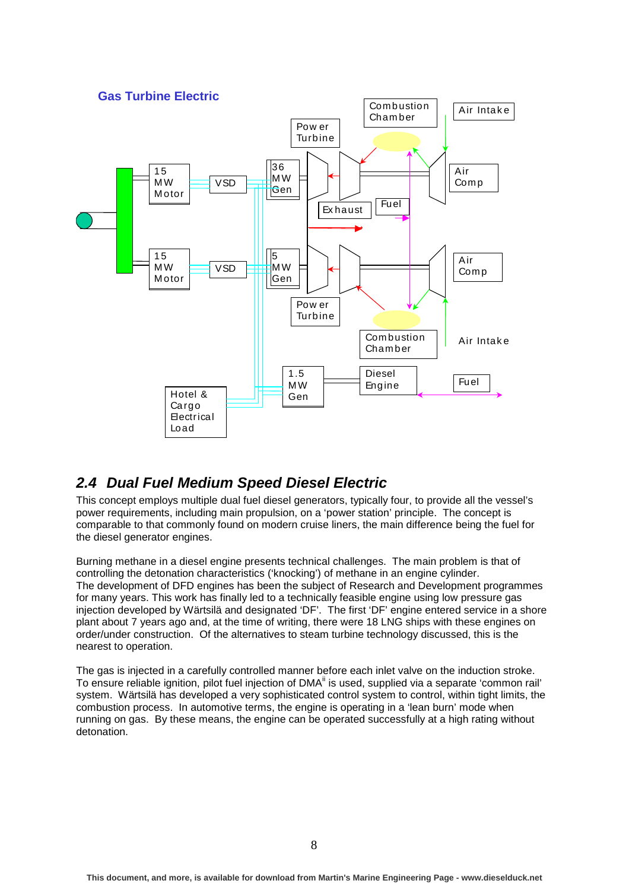

## **2.4 Dual Fuel Medium Speed Diesel Electric**

This concept employs multiple dual fuel diesel generators, typically four, to provide all the vessel's power requirements, including main propulsion, on a 'power station' principle. The concept is comparable to that commonly found on modern cruise liners, the main difference being the fuel for the diesel generator engines.

Burning methane in a diesel engine presents technical challenges. The main problem is that of controlling the detonation characteristics ('knocking') of methane in an engine cylinder. The development of DFD engines has been the subject of Research and Development programmes for many years. This work has finally led to a technically feasible engine using low pressure gas injection developed by Wärtsilä and designated 'DF'. The first 'DF' engine entered service in a shore plant about 7 years ago and, at the time of writing, there were 18 LNG ships with these engines on order/under construction. Of the alternatives to steam turbine technology discussed, this is the nearest to operation.

The gas is injected in a carefully controlled manner before each inlet valve on the induction stroke. To ensure reliable ignition, pilot fuel injection of DMA<sup>ii</sup> is used, supplied via a separate 'common rail' system. Wärtsilä has developed a very sophisticated control system to control, within tight limits, the combustion process. In automotive terms, the engine is operating in a 'lean burn' mode when running on gas. By these means, the engine can be operated successfully at a high rating without detonation.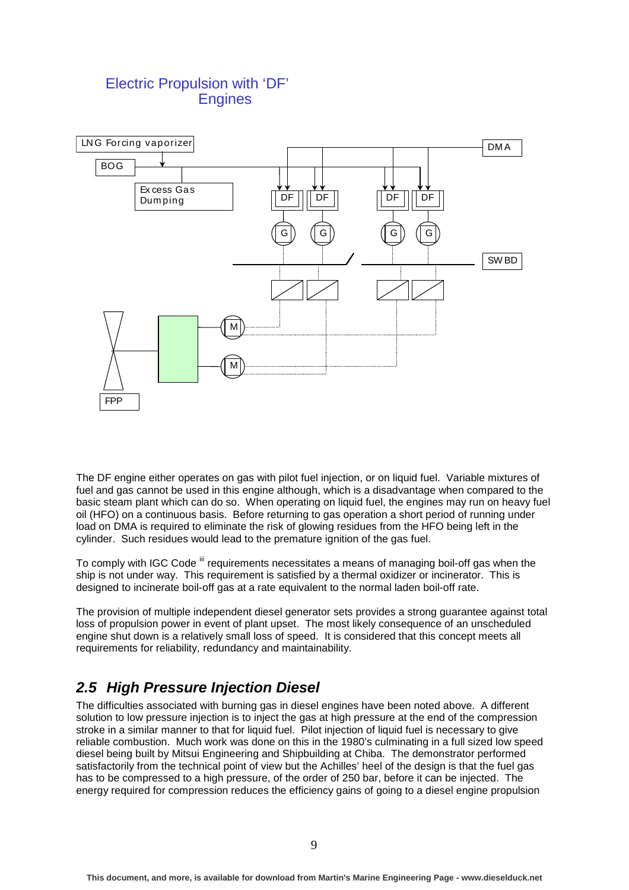## Electric Propulsion with 'DF' **Engines**



The DF engine either operates on gas with pilot fuel injection, or on liquid fuel. Variable mixtures of fuel and gas cannot be used in this engine although, which is a disadvantage when compared to the basic steam plant which can do so. When operating on liquid fuel, the engines may run on heavy fuel oil (HFO) on a continuous basis. Before returning to gas operation a short period of running under load on DMA is required to eliminate the risk of glowing residues from the HFO being left in the cylinder. Such residues would lead to the premature ignition of the gas fuel.

To comply with IGC Code  $\mathring{}}$  requirements necessitates a means of managing boil-off gas when the ship is not under way. This requirement is satisfied by a thermal oxidizer or incinerator. This is designed to incinerate boil-off gas at a rate equivalent to the normal laden boil-off rate.

The provision of multiple independent diesel generator sets provides a strong guarantee against total loss of propulsion power in event of plant upset. The most likely consequence of an unscheduled engine shut down is a relatively small loss of speed. It is considered that this concept meets all requirements for reliability, redundancy and maintainability.

# **2.5 High Pressure Injection Diesel**

The difficulties associated with burning gas in diesel engines have been noted above. A different solution to low pressure injection is to inject the gas at high pressure at the end of the compression stroke in a similar manner to that for liquid fuel. Pilot injection of liquid fuel is necessary to give reliable combustion. Much work was done on this in the 1980's culminating in a full sized low speed diesel being built by Mitsui Engineering and Shipbuilding at Chiba. The demonstrator performed satisfactorily from the technical point of view but the Achilles' heel of the design is that the fuel gas has to be compressed to a high pressure, of the order of 250 bar, before it can be injected. The energy required for compression reduces the efficiency gains of going to a diesel engine propulsion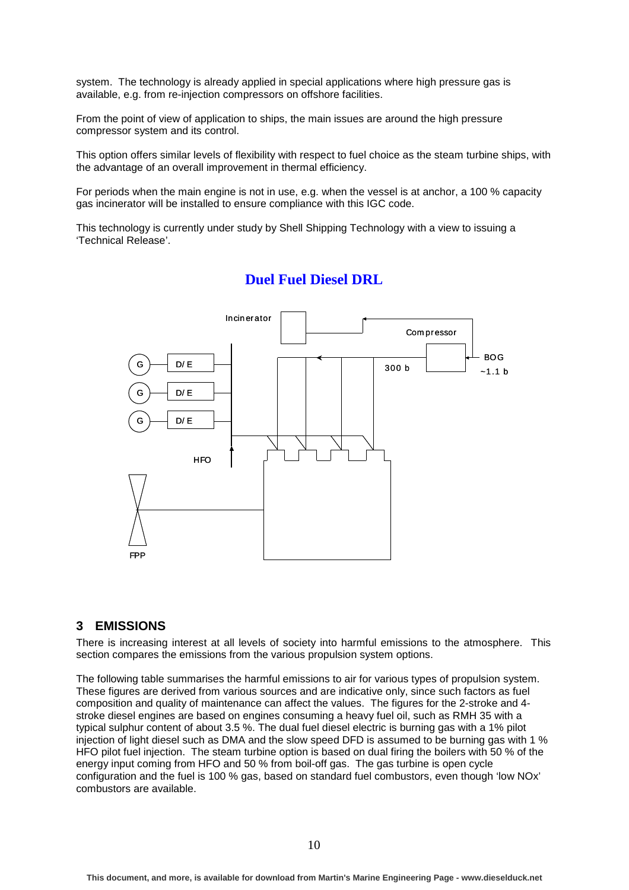system. The technology is already applied in special applications where high pressure gas is available, e.g. from re-injection compressors on offshore facilities.

From the point of view of application to ships, the main issues are around the high pressure compressor system and its control.

This option offers similar levels of flexibility with respect to fuel choice as the steam turbine ships, with the advantage of an overall improvement in thermal efficiency.

For periods when the main engine is not in use, e.g. when the vessel is at anchor, a 100 % capacity gas incinerator will be installed to ensure compliance with this IGC code.

This technology is currently under study by Shell Shipping Technology with a view to issuing a 'Technical Release'.



### **Duel Fuel Diesel DRL**

### **3 EMISSIONS**

There is increasing interest at all levels of society into harmful emissions to the atmosphere. This section compares the emissions from the various propulsion system options.

The following table summarises the harmful emissions to air for various types of propulsion system. These figures are derived from various sources and are indicative only, since such factors as fuel composition and quality of maintenance can affect the values. The figures for the 2-stroke and 4 stroke diesel engines are based on engines consuming a heavy fuel oil, such as RMH 35 with a typical sulphur content of about 3.5 %. The dual fuel diesel electric is burning gas with a 1% pilot injection of light diesel such as DMA and the slow speed DFD is assumed to be burning gas with 1 % HFO pilot fuel injection. The steam turbine option is based on dual firing the boilers with 50 % of the energy input coming from HFO and 50 % from boil-off gas. The gas turbine is open cycle configuration and the fuel is 100 % gas, based on standard fuel combustors, even though 'low NOx' combustors are available.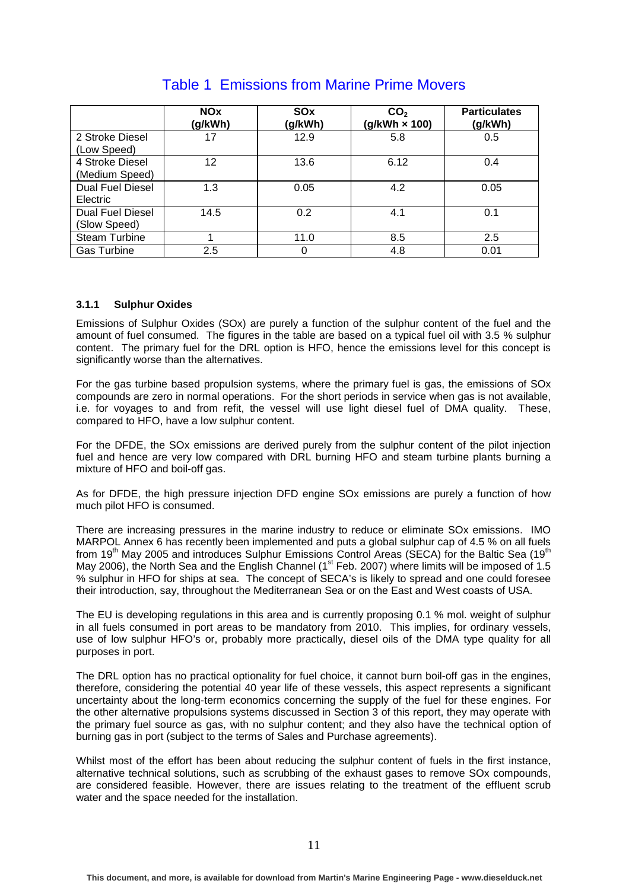|                                         | <b>NOx</b><br>(g/kWh) | SOx<br>(g/kWh) | CO <sub>2</sub><br>$(g/kWh \times 100)$ | <b>Particulates</b><br>(g/kWh) |
|-----------------------------------------|-----------------------|----------------|-----------------------------------------|--------------------------------|
| 2 Stroke Diesel<br>(Low Speed)          | 17                    | 12.9           | 5.8                                     | 0.5                            |
| 4 Stroke Diesel<br>(Medium Speed)       | 12                    | 13.6           | 6.12                                    | 0.4                            |
| <b>Dual Fuel Diesel</b><br>Electric     | 1.3                   | 0.05           | 4.2                                     | 0.05                           |
| <b>Dual Fuel Diesel</b><br>(Slow Speed) | 14.5                  | 0.2            | 4.1                                     | 0.1                            |
| <b>Steam Turbine</b>                    |                       | 11.0           | 8.5                                     | 2.5                            |
| <b>Gas Turbine</b>                      | 2.5                   |                | 4.8                                     | 0.01                           |

## Table 1 Emissions from Marine Prime Movers

### **3.1.1 Sulphur Oxides**

Emissions of Sulphur Oxides (SOx) are purely a function of the sulphur content of the fuel and the amount of fuel consumed. The figures in the table are based on a typical fuel oil with 3.5 % sulphur content. The primary fuel for the DRL option is HFO, hence the emissions level for this concept is significantly worse than the alternatives.

For the gas turbine based propulsion systems, where the primary fuel is gas, the emissions of SOx compounds are zero in normal operations. For the short periods in service when gas is not available, i.e. for voyages to and from refit, the vessel will use light diesel fuel of DMA quality. These, compared to HFO, have a low sulphur content.

For the DFDE, the SOx emissions are derived purely from the sulphur content of the pilot injection fuel and hence are very low compared with DRL burning HFO and steam turbine plants burning a mixture of HFO and boil-off gas.

As for DFDE, the high pressure injection DFD engine SOx emissions are purely a function of how much pilot HFO is consumed.

There are increasing pressures in the marine industry to reduce or eliminate SOx emissions. IMO MARPOL Annex 6 has recently been implemented and puts a global sulphur cap of 4.5 % on all fuels from 19<sup>th</sup> May 2005 and introduces Sulphur Emissions Control Areas (SECA) for the Baltic Sea (19<sup>th</sup> May 2006), the North Sea and the English Channel (1<sup>st</sup> Feb. 2007) where limits will be imposed of 1.5 % sulphur in HFO for ships at sea. The concept of SECA's is likely to spread and one could foresee their introduction, say, throughout the Mediterranean Sea or on the East and West coasts of USA.

The EU is developing regulations in this area and is currently proposing 0.1 % mol. weight of sulphur in all fuels consumed in port areas to be mandatory from 2010. This implies, for ordinary vessels, use of low sulphur HFO's or, probably more practically, diesel oils of the DMA type quality for all purposes in port.

The DRL option has no practical optionality for fuel choice, it cannot burn boil-off gas in the engines, therefore, considering the potential 40 year life of these vessels, this aspect represents a significant uncertainty about the long-term economics concerning the supply of the fuel for these engines. For the other alternative propulsions systems discussed in Section 3 of this report, they may operate with the primary fuel source as gas, with no sulphur content; and they also have the technical option of burning gas in port (subject to the terms of Sales and Purchase agreements).

Whilst most of the effort has been about reducing the sulphur content of fuels in the first instance, alternative technical solutions, such as scrubbing of the exhaust gases to remove SOx compounds, are considered feasible. However, there are issues relating to the treatment of the effluent scrub water and the space needed for the installation.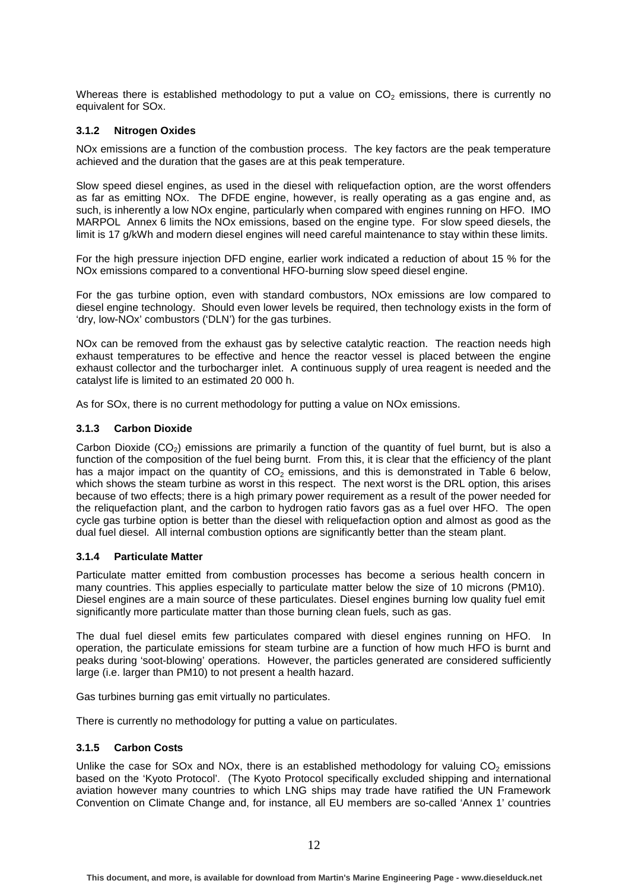Whereas there is established methodology to put a value on  $CO<sub>2</sub>$  emissions, there is currently no equivalent for SOx.

#### **3.1.2 Nitrogen Oxides**

NOx emissions are a function of the combustion process. The key factors are the peak temperature achieved and the duration that the gases are at this peak temperature.

Slow speed diesel engines, as used in the diesel with reliquefaction option, are the worst offenders as far as emitting NOx. The DFDE engine, however, is really operating as a gas engine and, as such, is inherently a low NOx engine, particularly when compared with engines running on HFO. IMO MARPOL Annex 6 limits the NOx emissions, based on the engine type. For slow speed diesels, the limit is 17 g/kWh and modern diesel engines will need careful maintenance to stay within these limits.

For the high pressure injection DFD engine, earlier work indicated a reduction of about 15 % for the NOx emissions compared to a conventional HFO-burning slow speed diesel engine.

For the gas turbine option, even with standard combustors, NOx emissions are low compared to diesel engine technology. Should even lower levels be required, then technology exists in the form of 'dry, low-NOx' combustors ('DLN') for the gas turbines.

NO<sub>x</sub> can be removed from the exhaust gas by selective catalytic reaction. The reaction needs high exhaust temperatures to be effective and hence the reactor vessel is placed between the engine exhaust collector and the turbocharger inlet. A continuous supply of urea reagent is needed and the catalyst life is limited to an estimated 20 000 h.

As for SOx, there is no current methodology for putting a value on NOx emissions.

#### **3.1.3 Carbon Dioxide**

Carbon Dioxide  $(CO<sub>2</sub>)$  emissions are primarily a function of the quantity of fuel burnt, but is also a function of the composition of the fuel being burnt. From this, it is clear that the efficiency of the plant has a major impact on the quantity of  $CO<sub>2</sub>$  emissions, and this is demonstrated in Table 6 below. which shows the steam turbine as worst in this respect. The next worst is the DRL option, this arises because of two effects; there is a high primary power requirement as a result of the power needed for the reliquefaction plant, and the carbon to hydrogen ratio favors gas as a fuel over HFO. The open cycle gas turbine option is better than the diesel with reliquefaction option and almost as good as the dual fuel diesel. All internal combustion options are significantly better than the steam plant.

#### **3.1.4 Particulate Matter**

Particulate matter emitted from combustion processes has become a serious health concern in many countries. This applies especially to particulate matter below the size of 10 microns (PM10). Diesel engines are a main source of these particulates. Diesel engines burning low quality fuel emit significantly more particulate matter than those burning clean fuels, such as gas.

The dual fuel diesel emits few particulates compared with diesel engines running on HFO. In operation, the particulate emissions for steam turbine are a function of how much HFO is burnt and peaks during 'soot-blowing' operations. However, the particles generated are considered sufficiently large (i.e. larger than PM10) to not present a health hazard.

Gas turbines burning gas emit virtually no particulates.

There is currently no methodology for putting a value on particulates.

#### **3.1.5 Carbon Costs**

Unlike the case for SOx and NOx, there is an established methodology for valuing  $CO<sub>2</sub>$  emissions based on the 'Kyoto Protocol'. (The Kyoto Protocol specifically excluded shipping and international aviation however many countries to which LNG ships may trade have ratified the UN Framework Convention on Climate Change and, for instance, all EU members are so-called 'Annex 1' countries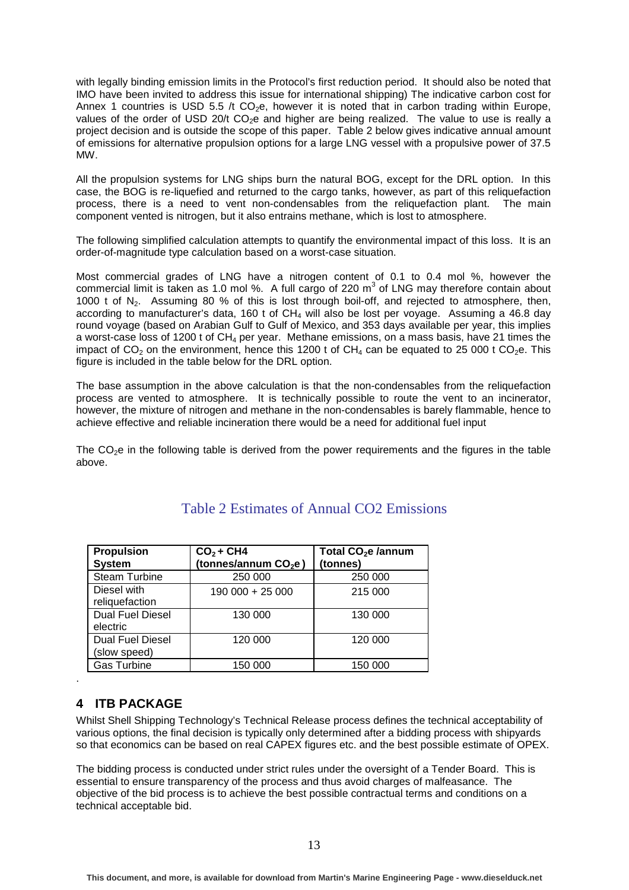with legally binding emission limits in the Protocol's first reduction period. It should also be noted that IMO have been invited to address this issue for international shipping) The indicative carbon cost for Annex 1 countries is USD 5.5 /t  $CO<sub>2</sub>e$ , however it is noted that in carbon trading within Europe, values of the order of USD 20/t CO<sub>2</sub>e and higher are being realized. The value to use is really a project decision and is outside the scope of this paper. Table 2 below gives indicative annual amount of emissions for alternative propulsion options for a large LNG vessel with a propulsive power of 37.5 MW.

All the propulsion systems for LNG ships burn the natural BOG, except for the DRL option. In this case, the BOG is re-liquefied and returned to the cargo tanks, however, as part of this reliquefaction process, there is a need to vent non-condensables from the reliquefaction plant. The main component vented is nitrogen, but it also entrains methane, which is lost to atmosphere.

The following simplified calculation attempts to quantify the environmental impact of this loss. It is an order-of-magnitude type calculation based on a worst-case situation.

Most commercial grades of LNG have a nitrogen content of 0.1 to 0.4 mol %, however the commercial limit is taken as 1.0 mol %. A full cargo of 220  $m<sup>3</sup>$  of LNG may therefore contain about 1000 t of  $N_2$ . Assuming 80 % of this is lost through boil-off, and rejected to atmosphere, then, according to manufacturer's data, 160 t of  $CH<sub>4</sub>$  will also be lost per voyage. Assuming a 46.8 day round voyage (based on Arabian Gulf to Gulf of Mexico, and 353 days available per year, this implies a worst-case loss of 1200 t of  $CH_4$  per year. Methane emissions, on a mass basis, have 21 times the impact of  $CO<sub>2</sub>$  on the environment, hence this 1200 t of  $CH<sub>4</sub>$  can be equated to 25 000 t  $CO<sub>2</sub>e$ . This figure is included in the table below for the DRL option.

The base assumption in the above calculation is that the non-condensables from the reliquefaction process are vented to atmosphere. It is technically possible to route the vent to an incinerator, however, the mixture of nitrogen and methane in the non-condensables is barely flammable, hence to achieve effective and reliable incineration there would be a need for additional fuel input

The  $CO<sub>2</sub>e$  in the following table is derived from the power requirements and the figures in the table above.

| <b>Propulsion</b>                       | $CO2 + CH4$                      | Total CO <sub>2</sub> e /annum |
|-----------------------------------------|----------------------------------|--------------------------------|
| <b>System</b>                           | (tonnes/annum CO <sub>2</sub> e) | (tonnes)                       |
| <b>Steam Turbine</b>                    | 250 000                          | 250 000                        |
| Diesel with<br>reliquefaction           | 190 000 + 25 000                 | 215 000                        |
| <b>Dual Fuel Diesel</b><br>electric     | 130 000                          | 130 000                        |
| <b>Dual Fuel Diesel</b><br>(slow speed) | 120 000                          | 120 000                        |
| <b>Gas Turbine</b>                      | 150 000                          | 150 000                        |

## Table 2 Estimates of Annual CO2 Emissions

### **4 ITB PACKAGE**

.

Whilst Shell Shipping Technology's Technical Release process defines the technical acceptability of various options, the final decision is typically only determined after a bidding process with shipyards so that economics can be based on real CAPEX figures etc. and the best possible estimate of OPEX.

The bidding process is conducted under strict rules under the oversight of a Tender Board. This is essential to ensure transparency of the process and thus avoid charges of malfeasance. The objective of the bid process is to achieve the best possible contractual terms and conditions on a technical acceptable bid.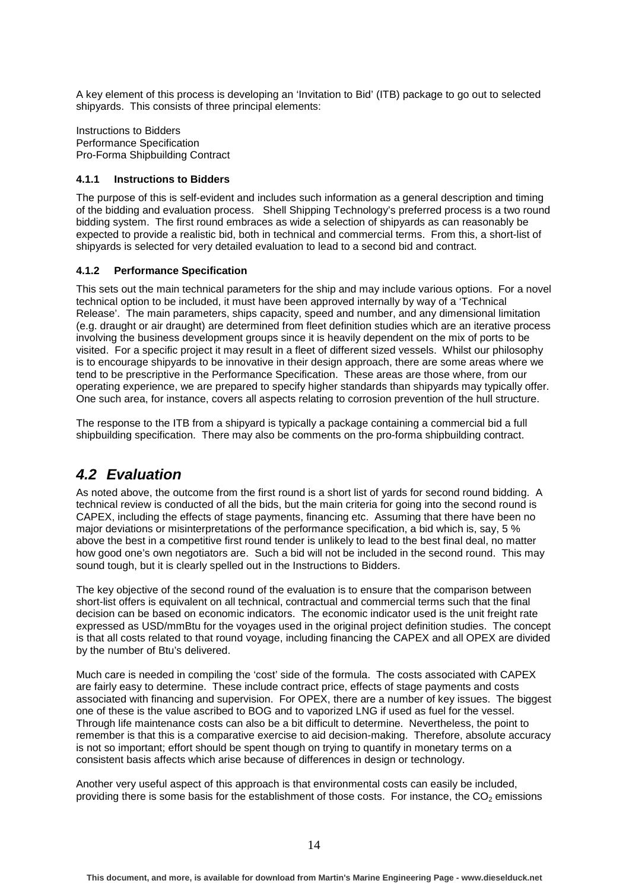A key element of this process is developing an 'Invitation to Bid' (ITB) package to go out to selected shipyards. This consists of three principal elements:

Instructions to Bidders Performance Specification Pro-Forma Shipbuilding Contract

#### **4.1.1 Instructions to Bidders**

The purpose of this is self-evident and includes such information as a general description and timing of the bidding and evaluation process. Shell Shipping Technology's preferred process is a two round bidding system. The first round embraces as wide a selection of shipyards as can reasonably be expected to provide a realistic bid, both in technical and commercial terms. From this, a short-list of shipyards is selected for very detailed evaluation to lead to a second bid and contract.

#### **4.1.2 Performance Specification**

This sets out the main technical parameters for the ship and may include various options. For a novel technical option to be included, it must have been approved internally by way of a 'Technical Release'. The main parameters, ships capacity, speed and number, and any dimensional limitation (e.g. draught or air draught) are determined from fleet definition studies which are an iterative process involving the business development groups since it is heavily dependent on the mix of ports to be visited. For a specific project it may result in a fleet of different sized vessels. Whilst our philosophy is to encourage shipyards to be innovative in their design approach, there are some areas where we tend to be prescriptive in the Performance Specification. These areas are those where, from our operating experience, we are prepared to specify higher standards than shipyards may typically offer. One such area, for instance, covers all aspects relating to corrosion prevention of the hull structure.

The response to the ITB from a shipyard is typically a package containing a commercial bid a full shipbuilding specification. There may also be comments on the pro-forma shipbuilding contract.

## **4.2 Evaluation**

As noted above, the outcome from the first round is a short list of yards for second round bidding. A technical review is conducted of all the bids, but the main criteria for going into the second round is CAPEX, including the effects of stage payments, financing etc. Assuming that there have been no major deviations or misinterpretations of the performance specification, a bid which is, say, 5 % above the best in a competitive first round tender is unlikely to lead to the best final deal, no matter how good one's own negotiators are. Such a bid will not be included in the second round. This may sound tough, but it is clearly spelled out in the Instructions to Bidders.

The key objective of the second round of the evaluation is to ensure that the comparison between short-list offers is equivalent on all technical, contractual and commercial terms such that the final decision can be based on economic indicators. The economic indicator used is the unit freight rate expressed as USD/mmBtu for the voyages used in the original project definition studies. The concept is that all costs related to that round voyage, including financing the CAPEX and all OPEX are divided by the number of Btu's delivered.

Much care is needed in compiling the 'cost' side of the formula. The costs associated with CAPEX are fairly easy to determine. These include contract price, effects of stage payments and costs associated with financing and supervision. For OPEX, there are a number of key issues. The biggest one of these is the value ascribed to BOG and to vaporized LNG if used as fuel for the vessel. Through life maintenance costs can also be a bit difficult to determine. Nevertheless, the point to remember is that this is a comparative exercise to aid decision-making. Therefore, absolute accuracy is not so important; effort should be spent though on trying to quantify in monetary terms on a consistent basis affects which arise because of differences in design or technology.

Another very useful aspect of this approach is that environmental costs can easily be included, providing there is some basis for the establishment of those costs. For instance, the  $CO<sub>2</sub>$  emissions